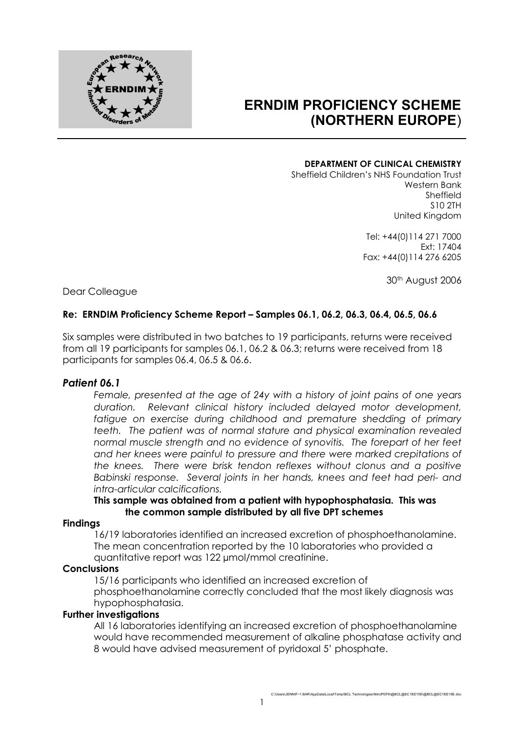

# **ERNDIM PROFICIENCY SCHEME (NORTHERN EUROPE**)

#### **DEPARTMENT OF CLINICAL CHEMISTRY**

Sheffield Children's NHS Foundation Trust Western Bank Sheffield S10 2TH United Kingdom

> Tel: +44(0)114 271 7000 Ext: 17404 Fax: +44(0)114 276 6205

> > 30th August 2006

Dear Colleague

## **Re: ERNDIM Proficiency Scheme Report – Samples 06.1, 06.2, 06.3, 06.4, 06.5, 06.6**

Six samples were distributed in two batches to 19 participants, returns were received from all 19 participants for samples 06.1, 06.2 & 06.3; returns were received from 18 participants for samples 06.4, 06.5 & 06.6.

#### *Patient 06.1*

*Female, presented at the age of 24y with a history of joint pains of one years duration. Relevant clinical history included delayed motor development,*  fatigue on exercise during childhood and premature shedding of primary *teeth. The patient was of normal stature and physical examination revealed normal muscle strength and no evidence of synovitis. The forepart of her feet and her knees were painful to pressure and there were marked crepitations of the knees. There were brisk tendon reflexes without clonus and a positive Babinski response. Several joints in her hands, knees and feet had peri- and intra-articular calcifications.*

#### **This sample was obtained from a patient with hypophosphatasia. This was the common sample distributed by all five DPT schemes**

#### **Findings**

16/19 laboratories identified an increased excretion of phosphoethanolamine. The mean concentration reported by the 10 laboratories who provided a quantitative report was 122 µmol/mmol creatinine.

#### **Conclusions**

15/16 participants who identified an increased excretion of phosphoethanolamine correctly concluded that the most likely diagnosis was hypophosphatasia.

## **Further investigations**

All 16 laboratories identifying an increased excretion of phosphoethanolamine would have recommended measurement of alkaline phosphatase activity and 8 would have advised measurement of pyridoxal 5' phosphate.

1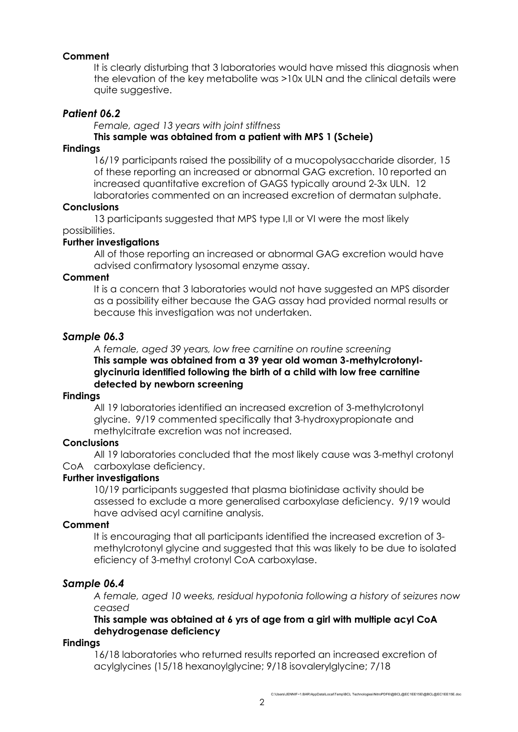## **Comment**

It is clearly disturbing that 3 laboratories would have missed this diagnosis when the elevation of the key metabolite was >10x ULN and the clinical details were quite suggestive.

## *Patient 06.2*

*Female, aged 13 years with joint stiffness*

## **This sample was obtained from a patient with MPS 1 (Scheie)**

#### **Findings**

16/19 participants raised the possibility of a mucopolysaccharide disorder, 15 of these reporting an increased or abnormal GAG excretion. 10 reported an increased quantitative excretion of GAGS typically around 2-3x ULN. 12 laboratories commented on an increased excretion of dermatan sulphate.

#### **Conclusions**

13 participants suggested that MPS type I,II or VI were the most likely possibilities.

#### **Further investigations**

All of those reporting an increased or abnormal GAG excretion would have advised confirmatory lysosomal enzyme assay.

#### **Comment**

It is a concern that 3 laboratories would not have suggested an MPS disorder as a possibility either because the GAG assay had provided normal results or because this investigation was not undertaken.

#### *Sample 06.3*

*A female, aged 39 years, low free carnitine on routine screening* **This sample was obtained from a 39 year old woman 3-methylcrotonylglycinuria identified following the birth of a child with low free carnitine detected by newborn screening**

#### **Findings**

All 19 laboratories identified an increased excretion of 3-methylcrotonyl glycine. 9/19 commented specifically that 3-hydroxypropionate and methylcitrate excretion was not increased.

#### **Conclusions**

All 19 laboratories concluded that the most likely cause was 3-methyl crotonyl CoA carboxylase deficiency.

#### **Further investigations**

10/19 participants suggested that plasma biotinidase activity should be assessed to exclude a more generalised carboxylase deficiency. 9/19 would have advised acyl carnitine analysis.

#### **Comment**

It is encouraging that all participants identified the increased excretion of 3 methylcrotonyl glycine and suggested that this was likely to be due to isolated eficiency of 3-methyl crotonyl CoA carboxylase.

#### *Sample 06.4*

*A female, aged 10 weeks, residual hypotonia following a history of seizures now ceased*

## **This sample was obtained at 6 yrs of age from a girl with multiple acyl CoA dehydrogenase deficiency**

#### **Findings**

16/18 laboratories who returned results reported an increased excretion of acylglycines (15/18 hexanoylglycine; 9/18 isovalerylglycine; 7/18

C:\Users\JENNIF~1.BAR\AppData\Local\Temp\BCL Technologies\NitroPDF6\@BCL@EC1EE15E\@BCL@EC1EE15E.doc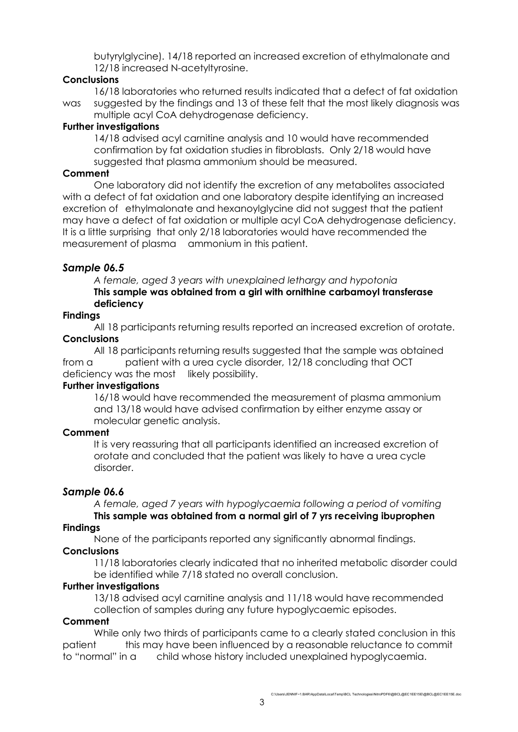butyrylglycine). 14/18 reported an increased excretion of ethylmalonate and 12/18 increased N-acetyltyrosine.

## **Conclusions**

16/18 laboratories who returned results indicated that a defect of fat oxidation was suggested by the findings and 13 of these felt that the most likely diagnosis was multiple acyl CoA dehydrogenase deficiency.

## **Further investigations**

14/18 advised acyl carnitine analysis and 10 would have recommended confirmation by fat oxidation studies in fibroblasts. Only 2/18 would have suggested that plasma ammonium should be measured.

## **Comment**

One laboratory did not identify the excretion of any metabolites associated with a defect of fat oxidation and one laboratory despite identifying an increased excretion of ethylmalonate and hexanoylglycine did not suggest that the patient may have a defect of fat oxidation or multiple acyl CoA dehydrogenase deficiency. It is a little surprising that only 2/18 laboratories would have recommended the measurement of plasma ammonium in this patient.

# *Sample 06.5*

*A female, aged 3 years with unexplained lethargy and hypotonia* **This sample was obtained from a girl with ornithine carbamoyl transferase deficiency**

## **Findings**

All 18 participants returning results reported an increased excretion of orotate. **Conclusions**

All 18 participants returning results suggested that the sample was obtained from a patient with a urea cycle disorder, 12/18 concluding that OCT deficiency was the most likely possibility.

#### **Further investigations**

16/18 would have recommended the measurement of plasma ammonium and 13/18 would have advised confirmation by either enzyme assay or molecular genetic analysis.

# **Comment**

It is very reassuring that all participants identified an increased excretion of orotate and concluded that the patient was likely to have a urea cycle disorder.

# *Sample 06.6*

*A female, aged 7 years with hypoglycaemia following a period of vomiting* **This sample was obtained from a normal girl of 7 yrs receiving ibuprophen**

# **Findings**

None of the participants reported any significantly abnormal findings.

#### **Conclusions**

11/18 laboratories clearly indicated that no inherited metabolic disorder could be identified while 7/18 stated no overall conclusion.

#### **Further investigations**

13/18 advised acyl carnitine analysis and 11/18 would have recommended collection of samples during any future hypoglycaemic episodes.

#### **Comment**

While only two thirds of participants came to a clearly stated conclusion in this patient this may have been influenced by a reasonable reluctance to commit to "normal" in a child whose history included unexplained hypoglycaemia.

C:\Users\JENNIF~1.BAR\AppData\Local\Temp\BCL Technologies\NitroPDF6\@BCL@EC1EE15E\@BCL@EC1EE15E.doc